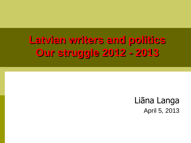# **Latvian writers and politics Our struggle 2012 - 2013**

Liāna Langa April 5, 2013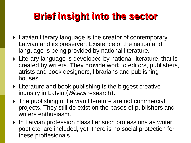### **Brief insight into the sector**

- **Latvian literary language is the creator of contemporary** Latvian and its preserver. Existence of the nation and language is being provided by national literature.
- Literary language is developed by national literature, that is created by writers. They provide work to editors, publishers, atrists and book designers, librarians and publishing houses.
- **Example 2** Literature and book publishing is the biggest creative industry in Latvia. (*Biceps* research).
- ▶ The publishing of Latvian literature are not commercial projects. They still do exist on the bases of publishers and writers enthusiasm.
- ▶ In Latvian profession classifier such professions as writer, poet etc. are included, yet, there is no social protection for these proffesionals.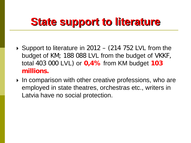## **State support to literature**

- $\triangleright$  Support to literature in 2012 (214 752 LVL from the budget of KM; 188 088 LVL from the budget of VKKF, total 403 000 LVL) or **0,4%** from KM budget **103 millions.**
- ▶ In comparison with other creative professions, who are employed in state theatres, orchestras etc., writers in Latvia have no social protection.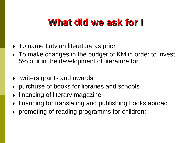#### **What did we ask for I**

- To name Latvian literature as prior
- To make changes in the budget of KM in order to invest 5% of it in the development of literature for:
- writers grants and awards
- purchuse of books for libraries and schools
- $\rightarrow$  financing of literary magazine
- financing for translating and publishing books abroad
- promoting of reading programms for children;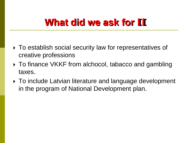#### **What did we ask for II**

- ▶ To establish social security law for representatives of creative professions
- ▶ To finance VKKF from alchocol, tabacco and gambling taxes.
- ▶ To include Latvian literature and language development in the program of National Development plan.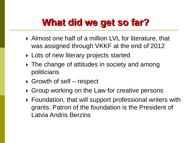### **What did we get so far?**

- Almost one half of a million LVL for literature, that was assigned through VKKF at the end of 2012
- ▶ Lots of new literary projects started
- ▶ The change of attitudes in society and among politicians
- $\triangleright$  Growth of self respect
- ▶ Group working on the Law for creative persons
- ▶ Foundation, that will support professional writers with grants. Patron of the foundation is the President of Latvia Andris Berzins